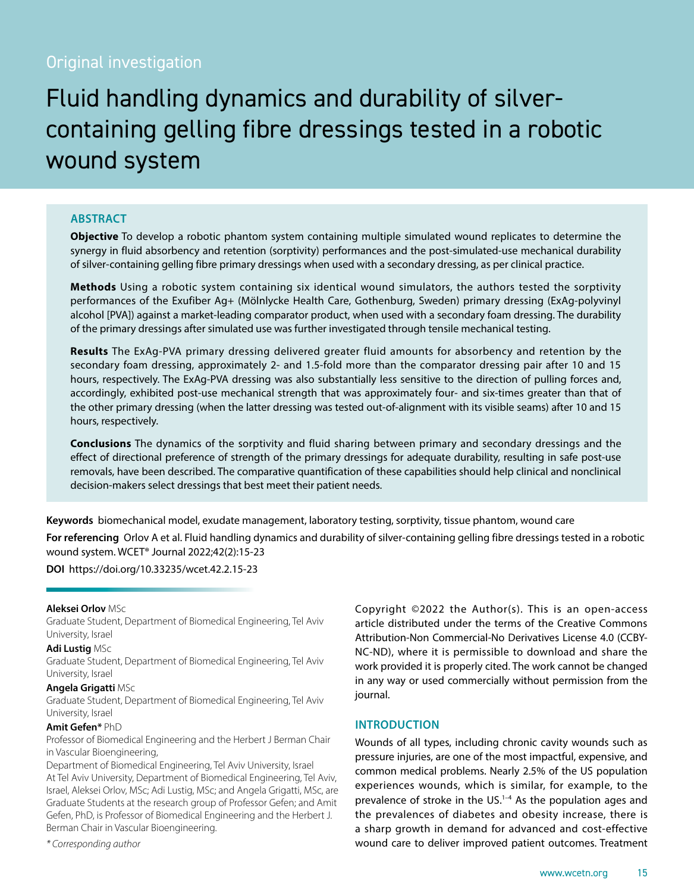# Original investigation

# Fluid handling dynamics and durability of silvercontaining gelling fibre dressings tested in a robotic wound system

# **ABSTRACT**

**Objective** To develop a robotic phantom system containing multiple simulated wound replicates to determine the synergy in fluid absorbency and retention (sorptivity) performances and the post-simulated-use mechanical durability of silver-containing gelling fibre primary dressings when used with a secondary dressing, as per clinical practice.

**Methods** Using a robotic system containing six identical wound simulators, the authors tested the sorptivity performances of the Exufiber Ag+ (Mölnlycke Health Care, Gothenburg, Sweden) primary dressing (ExAg-polyvinyl alcohol [PVA]) against a market-leading comparator product, when used with a secondary foam dressing. The durability of the primary dressings after simulated use was further investigated through tensile mechanical testing.

**Results** The ExAg-PVA primary dressing delivered greater fluid amounts for absorbency and retention by the secondary foam dressing, approximately 2- and 1.5-fold more than the comparator dressing pair after 10 and 15 hours, respectively. The ExAg-PVA dressing was also substantially less sensitive to the direction of pulling forces and, accordingly, exhibited post-use mechanical strength that was approximately four- and six-times greater than that of the other primary dressing (when the latter dressing was tested out-of-alignment with its visible seams) after 10 and 15 hours, respectively.

**Conclusions** The dynamics of the sorptivity and fluid sharing between primary and secondary dressings and the effect of directional preference of strength of the primary dressings for adequate durability, resulting in safe post-use removals, have been described. The comparative quantification of these capabilities should help clinical and nonclinical decision-makers select dressings that best meet their patient needs.

**Keywords** biomechanical model, exudate management, laboratory testing, sorptivity, tissue phantom, wound care

**For referencing** Orlov A et al. Fluid handling dynamics and durability of silver-containing gelling fibre dressings tested in a robotic wound system. WCET® Journal 2022;42(2):15-23

**DOI** https://doi.org/10.33235/wcet.42.2.15-23

# **Aleksei Orlov** MSc

Graduate Student, Department of Biomedical Engineering, Tel Aviv University, Israel

# **Adi Lustig** MSc

Graduate Student, Department of Biomedical Engineering, Tel Aviv University, Israel

#### **Angela Grigatti** MSc

Graduate Student, Department of Biomedical Engineering, Tel Aviv University, Israel

#### **Amit Gefen\*** PhD

Professor of Biomedical Engineering and the Herbert J Berman Chair in Vascular Bioengineering,

Department of Biomedical Engineering, Tel Aviv University, Israel At Tel Aviv University, Department of Biomedical Engineering, Tel Aviv, Israel, Aleksei Orlov, MSc; Adi Lustig, MSc; and Angela Grigatti, MSc, are Graduate Students at the research group of Professor Gefen; and Amit Gefen, PhD, is Professor of Biomedical Engineering and the Herbert J. Berman Chair in Vascular Bioengineering.

*\* Corresponding author*

Copyright ©2022 the Author(s). This is an open-access article distributed under the terms of the Creative Commons Attribution-Non Commercial-No Derivatives License 4.0 (CCBY-NC-ND), where it is permissible to download and share the work provided it is properly cited. The work cannot be changed in any way or used commercially without permission from the journal.

# **INTRODUCTION**

Wounds of all types, including chronic cavity wounds such as pressure injuries, are one of the most impactful, expensive, and common medical problems. Nearly 2.5% of the US population experiences wounds, which is similar, for example, to the prevalence of stroke in the  $US^{1-4}$  As the population ages and the prevalences of diabetes and obesity increase, there is a sharp growth in demand for advanced and cost-effective wound care to deliver improved patient outcomes. Treatment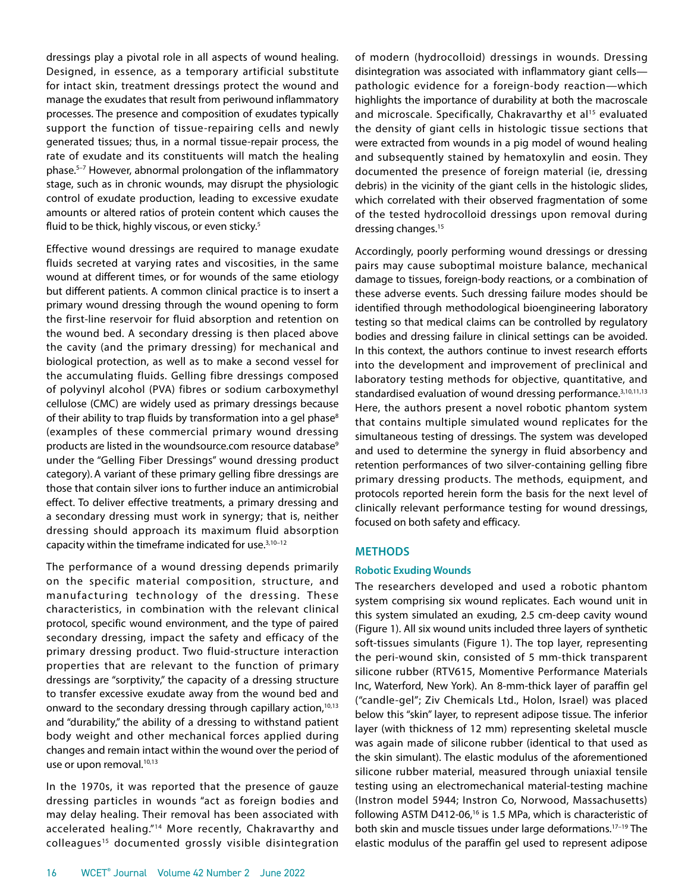dressings play a pivotal role in all aspects of wound healing. Designed, in essence, as a temporary artificial substitute for intact skin, treatment dressings protect the wound and manage the exudates that result from periwound inflammatory processes. The presence and composition of exudates typically support the function of tissue-repairing cells and newly generated tissues; thus, in a normal tissue-repair process, the rate of exudate and its constituents will match the healing phase.5–7 However, abnormal prolongation of the inflammatory stage, such as in chronic wounds, may disrupt the physiologic control of exudate production, leading to excessive exudate amounts or altered ratios of protein content which causes the fluid to be thick, highly viscous, or even sticky.<sup>5</sup>

Effective wound dressings are required to manage exudate fluids secreted at varying rates and viscosities, in the same wound at different times, or for wounds of the same etiology but different patients. A common clinical practice is to insert a primary wound dressing through the wound opening to form the first-line reservoir for fluid absorption and retention on the wound bed. A secondary dressing is then placed above the cavity (and the primary dressing) for mechanical and biological protection, as well as to make a second vessel for the accumulating fluids. Gelling fibre dressings composed of polyvinyl alcohol (PVA) fibres or sodium carboxymethyl cellulose (CMC) are widely used as primary dressings because of their ability to trap fluids by transformation into a gel phase $8$ (examples of these commercial primary wound dressing products are listed in the woundsource.com resource database<sup>9</sup> under the "Gelling Fiber Dressings" wound dressing product category). A variant of these primary gelling fibre dressings are those that contain silver ions to further induce an antimicrobial effect. To deliver effective treatments, a primary dressing and a secondary dressing must work in synergy; that is, neither dressing should approach its maximum fluid absorption capacity within the timeframe indicated for use.3,10–12

The performance of a wound dressing depends primarily on the specific material composition, structure, and manufacturing technology of the dressing. These characteristics, in combination with the relevant clinical protocol, specific wound environment, and the type of paired secondary dressing, impact the safety and efficacy of the primary dressing product. Two fluid-structure interaction properties that are relevant to the function of primary dressings are "sorptivity," the capacity of a dressing structure to transfer excessive exudate away from the wound bed and onward to the secondary dressing through capillary action,<sup>10,13</sup> and "durability," the ability of a dressing to withstand patient body weight and other mechanical forces applied during changes and remain intact within the wound over the period of use or upon removal.<sup>10,13</sup>

In the 1970s, it was reported that the presence of gauze dressing particles in wounds "act as foreign bodies and may delay healing. Their removal has been associated with accelerated healing."14 More recently, Chakravarthy and colleagues<sup>15</sup> documented grossly visible disintegration of modern (hydrocolloid) dressings in wounds. Dressing disintegration was associated with inflammatory giant cells pathologic evidence for a foreign-body reaction—which highlights the importance of durability at both the macroscale and microscale. Specifically, Chakravarthy et al<sup>15</sup> evaluated the density of giant cells in histologic tissue sections that were extracted from wounds in a pig model of wound healing and subsequently stained by hematoxylin and eosin. They documented the presence of foreign material (ie, dressing debris) in the vicinity of the giant cells in the histologic slides, which correlated with their observed fragmentation of some of the tested hydrocolloid dressings upon removal during dressing changes.<sup>15</sup>

Accordingly, poorly performing wound dressings or dressing pairs may cause suboptimal moisture balance, mechanical damage to tissues, foreign-body reactions, or a combination of these adverse events. Such dressing failure modes should be identified through methodological bioengineering laboratory testing so that medical claims can be controlled by regulatory bodies and dressing failure in clinical settings can be avoided. In this context, the authors continue to invest research efforts into the development and improvement of preclinical and laboratory testing methods for objective, quantitative, and standardised evaluation of wound dressing performance.<sup>3,10,11,13</sup> Here, the authors present a novel robotic phantom system that contains multiple simulated wound replicates for the simultaneous testing of dressings. The system was developed and used to determine the synergy in fluid absorbency and retention performances of two silver-containing gelling fibre primary dressing products. The methods, equipment, and protocols reported herein form the basis for the next level of clinically relevant performance testing for wound dressings, focused on both safety and efficacy.

#### **METHODS**

#### **Robotic Exuding Wounds**

The researchers developed and used a robotic phantom system comprising six wound replicates. Each wound unit in this system simulated an exuding, 2.5 cm-deep cavity wound (Figure 1). All six wound units included three layers of synthetic soft-tissues simulants (Figure 1). The top layer, representing the peri-wound skin, consisted of 5 mm-thick transparent silicone rubber (RTV615, Momentive Performance Materials Inc, Waterford, New York). An 8-mm-thick layer of paraffin gel ("candle-gel"; Ziv Chemicals Ltd., Holon, Israel) was placed below this "skin" layer, to represent adipose tissue. The inferior layer (with thickness of 12 mm) representing skeletal muscle was again made of silicone rubber (identical to that used as the skin simulant). The elastic modulus of the aforementioned silicone rubber material, measured through uniaxial tensile testing using an electromechanical material-testing machine (Instron model 5944; Instron Co, Norwood, Massachusetts) following ASTM D412-06,<sup>16</sup> is 1.5 MPa, which is characteristic of both skin and muscle tissues under large deformations.17–19 The elastic modulus of the paraffin gel used to represent adipose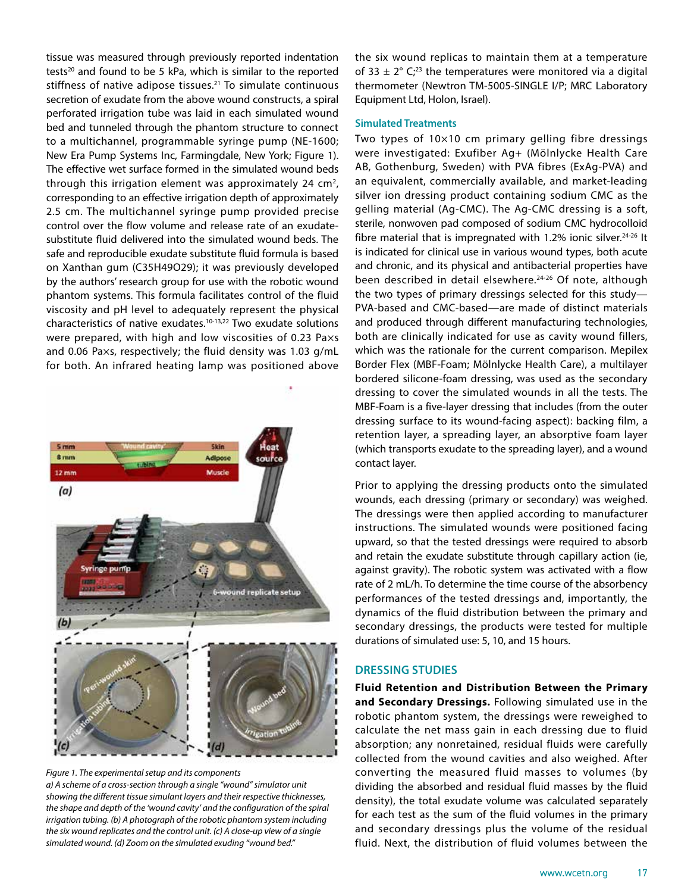tissue was measured through previously reported indentation tests<sup>20</sup> and found to be 5 kPa, which is similar to the reported stiffness of native adipose tissues.<sup>21</sup> To simulate continuous secretion of exudate from the above wound constructs, a spiral perforated irrigation tube was laid in each simulated wound bed and tunneled through the phantom structure to connect to a multichannel, programmable syringe pump (NE-1600; New Era Pump Systems Inc, Farmingdale, New York; Figure 1). The effective wet surface formed in the simulated wound beds through this irrigation element was approximately 24 cm<sup>2</sup>, corresponding to an effective irrigation depth of approximately 2.5 cm. The multichannel syringe pump provided precise control over the flow volume and release rate of an exudatesubstitute fluid delivered into the simulated wound beds. The safe and reproducible exudate substitute fluid formula is based on Xanthan gum (C35H49O29); it was previously developed by the authors' research group for use with the robotic wound phantom systems. This formula facilitates control of the fluid viscosity and pH level to adequately represent the physical characteristics of native exudates.10-13,22 Two exudate solutions were prepared, with high and low viscosities of 0.23 Pa×s and 0.06 Pa×s, respectively; the fluid density was 1.03 g/mL for both. An infrared heating lamp was positioned above



*Figure 1. The experimental setup and its components*

*a) A scheme of a cross-section through a single "wound" simulator unit showing the different tissue simulant layers and their respective thicknesses, the shape and depth of the 'wound cavity' and the configuration of the spiral irrigation tubing. (b) A photograph of the robotic phantom system including the six wound replicates and the control unit. (c) A close-up view of a single simulated wound. (d) Zoom on the simulated exuding "wound bed."*

the six wound replicas to maintain them at a temperature of 33  $\pm$  2° C;<sup>23</sup> the temperatures were monitored via a digital thermometer (Newtron TM-5005-SINGLE I/P; MRC Laboratory Equipment Ltd, Holon, Israel).

#### **Simulated Treatments**

Two types of  $10\times10$  cm primary gelling fibre dressings were investigated: Exufiber Ag+ (Mölnlycke Health Care AB, Gothenburg, Sweden) with PVA fibres (ExAg-PVA) and an equivalent, commercially available, and market-leading silver ion dressing product containing sodium CMC as the gelling material (Ag-CMC). The Ag-CMC dressing is a soft, sterile, nonwoven pad composed of sodium CMC hydrocolloid fibre material that is impregnated with 1.2% ionic silver. $24-26$  It is indicated for clinical use in various wound types, both acute and chronic, and its physical and antibacterial properties have been described in detail elsewhere.<sup>24-26</sup> Of note, although the two types of primary dressings selected for this study— PVA-based and CMC-based—are made of distinct materials and produced through different manufacturing technologies, both are clinically indicated for use as cavity wound fillers, which was the rationale for the current comparison. Mepilex Border Flex (MBF-Foam; Mölnlycke Health Care), a multilayer bordered silicone-foam dressing, was used as the secondary dressing to cover the simulated wounds in all the tests. The MBF-Foam is a five-layer dressing that includes (from the outer dressing surface to its wound-facing aspect): backing film, a retention layer, a spreading layer, an absorptive foam layer (which transports exudate to the spreading layer), and a wound contact layer.

Prior to applying the dressing products onto the simulated wounds, each dressing (primary or secondary) was weighed. The dressings were then applied according to manufacturer instructions. The simulated wounds were positioned facing upward, so that the tested dressings were required to absorb and retain the exudate substitute through capillary action (ie, against gravity). The robotic system was activated with a flow rate of 2 mL/h. To determine the time course of the absorbency performances of the tested dressings and, importantly, the dynamics of the fluid distribution between the primary and secondary dressings, the products were tested for multiple durations of simulated use: 5, 10, and 15 hours.

#### **DRESSING STUDIES**

**Fluid Retention and Distribution Between the Primary and Secondary Dressings.** Following simulated use in the robotic phantom system, the dressings were reweighed to calculate the net mass gain in each dressing due to fluid absorption; any nonretained, residual fluids were carefully collected from the wound cavities and also weighed. After converting the measured fluid masses to volumes (by dividing the absorbed and residual fluid masses by the fluid density), the total exudate volume was calculated separately for each test as the sum of the fluid volumes in the primary and secondary dressings plus the volume of the residual fluid. Next, the distribution of fluid volumes between the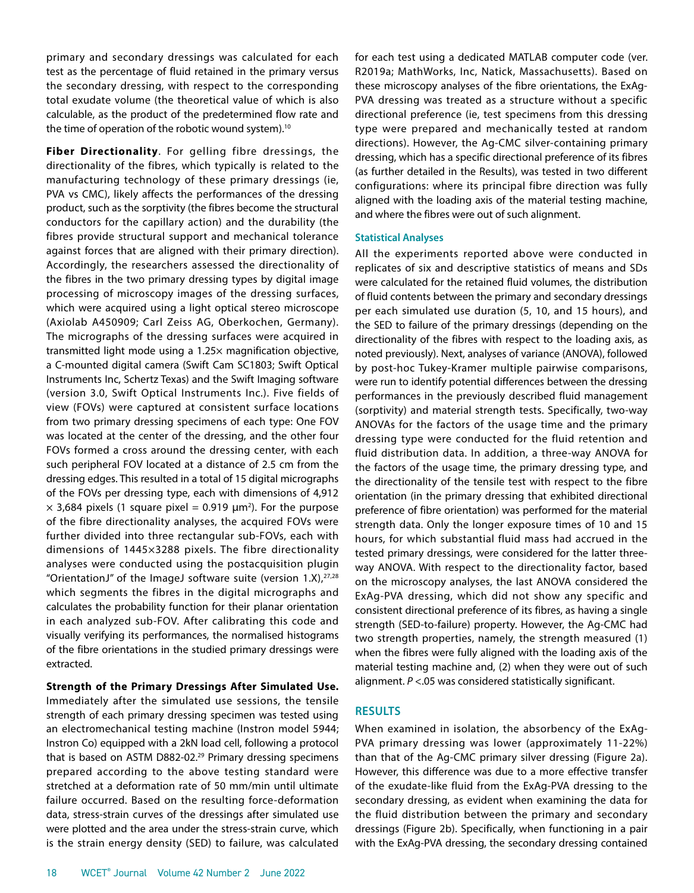primary and secondary dressings was calculated for each test as the percentage of fluid retained in the primary versus the secondary dressing, with respect to the corresponding total exudate volume (the theoretical value of which is also calculable, as the product of the predetermined flow rate and the time of operation of the robotic wound system).<sup>10</sup>

**Fiber Directionality**. For gelling fibre dressings, the directionality of the fibres, which typically is related to the manufacturing technology of these primary dressings (ie, PVA vs CMC), likely affects the performances of the dressing product, such as the sorptivity (the fibres become the structural conductors for the capillary action) and the durability (the fibres provide structural support and mechanical tolerance against forces that are aligned with their primary direction). Accordingly, the researchers assessed the directionality of the fibres in the two primary dressing types by digital image processing of microscopy images of the dressing surfaces, which were acquired using a light optical stereo microscope (Axiolab A450909; Carl Zeiss AG, Oberkochen, Germany). The micrographs of the dressing surfaces were acquired in transmitted light mode using a 1.25× magnification objective, a C-mounted digital camera (Swift Cam SC1803; Swift Optical Instruments Inc, Schertz Texas) and the Swift Imaging software (version 3.0, Swift Optical Instruments Inc.). Five fields of view (FOVs) were captured at consistent surface locations from two primary dressing specimens of each type: One FOV was located at the center of the dressing, and the other four FOVs formed a cross around the dressing center, with each such peripheral FOV located at a distance of 2.5 cm from the dressing edges. This resulted in a total of 15 digital micrographs of the FOVs per dressing type, each with dimensions of 4,912  $\times$  3,684 pixels (1 square pixel = 0.919  $\mu$ m<sup>2</sup>). For the purpose of the fibre directionality analyses, the acquired FOVs were further divided into three rectangular sub-FOVs, each with dimensions of 1445×3288 pixels. The fibre directionality analyses were conducted using the postacquisition plugin "OrientationJ" of the ImageJ software suite (version  $1.X$ ),  $27.28$ which segments the fibres in the digital micrographs and calculates the probability function for their planar orientation in each analyzed sub-FOV. After calibrating this code and visually verifying its performances, the normalised histograms of the fibre orientations in the studied primary dressings were extracted.

**Strength of the Primary Dressings After Simulated Use.** Immediately after the simulated use sessions, the tensile strength of each primary dressing specimen was tested using an electromechanical testing machine (Instron model 5944; Instron Co) equipped with a 2kN load cell, following a protocol that is based on ASTM D882-02.<sup>29</sup> Primary dressing specimens prepared according to the above testing standard were stretched at a deformation rate of 50 mm/min until ultimate failure occurred. Based on the resulting force-deformation data, stress-strain curves of the dressings after simulated use were plotted and the area under the stress-strain curve, which is the strain energy density (SED) to failure, was calculated for each test using a dedicated MATLAB computer code (ver. R2019a; MathWorks, Inc, Natick, Massachusetts). Based on these microscopy analyses of the fibre orientations, the ExAg-PVA dressing was treated as a structure without a specific directional preference (ie, test specimens from this dressing type were prepared and mechanically tested at random directions). However, the Ag-CMC silver-containing primary dressing, which has a specific directional preference of its fibres (as further detailed in the Results), was tested in two different configurations: where its principal fibre direction was fully aligned with the loading axis of the material testing machine, and where the fibres were out of such alignment.

#### **Statistical Analyses**

All the experiments reported above were conducted in replicates of six and descriptive statistics of means and SDs were calculated for the retained fluid volumes, the distribution of fluid contents between the primary and secondary dressings per each simulated use duration (5, 10, and 15 hours), and the SED to failure of the primary dressings (depending on the directionality of the fibres with respect to the loading axis, as noted previously). Next, analyses of variance (ANOVA), followed by post-hoc Tukey-Kramer multiple pairwise comparisons, were run to identify potential differences between the dressing performances in the previously described fluid management (sorptivity) and material strength tests. Specifically, two-way ANOVAs for the factors of the usage time and the primary dressing type were conducted for the fluid retention and fluid distribution data. In addition, a three-way ANOVA for the factors of the usage time, the primary dressing type, and the directionality of the tensile test with respect to the fibre orientation (in the primary dressing that exhibited directional preference of fibre orientation) was performed for the material strength data. Only the longer exposure times of 10 and 15 hours, for which substantial fluid mass had accrued in the tested primary dressings, were considered for the latter threeway ANOVA. With respect to the directionality factor, based on the microscopy analyses, the last ANOVA considered the ExAg-PVA dressing, which did not show any specific and consistent directional preference of its fibres, as having a single strength (SED-to-failure) property. However, the Ag-CMC had two strength properties, namely, the strength measured (1) when the fibres were fully aligned with the loading axis of the material testing machine and, (2) when they were out of such alignment. *P* <.05 was considered statistically significant.

# **RESULTS**

When examined in isolation, the absorbency of the ExAg-PVA primary dressing was lower (approximately 11-22%) than that of the Ag-CMC primary silver dressing (Figure 2a). However, this difference was due to a more effective transfer of the exudate-like fluid from the ExAg-PVA dressing to the secondary dressing, as evident when examining the data for the fluid distribution between the primary and secondary dressings (Figure 2b). Specifically, when functioning in a pair with the ExAg-PVA dressing, the secondary dressing contained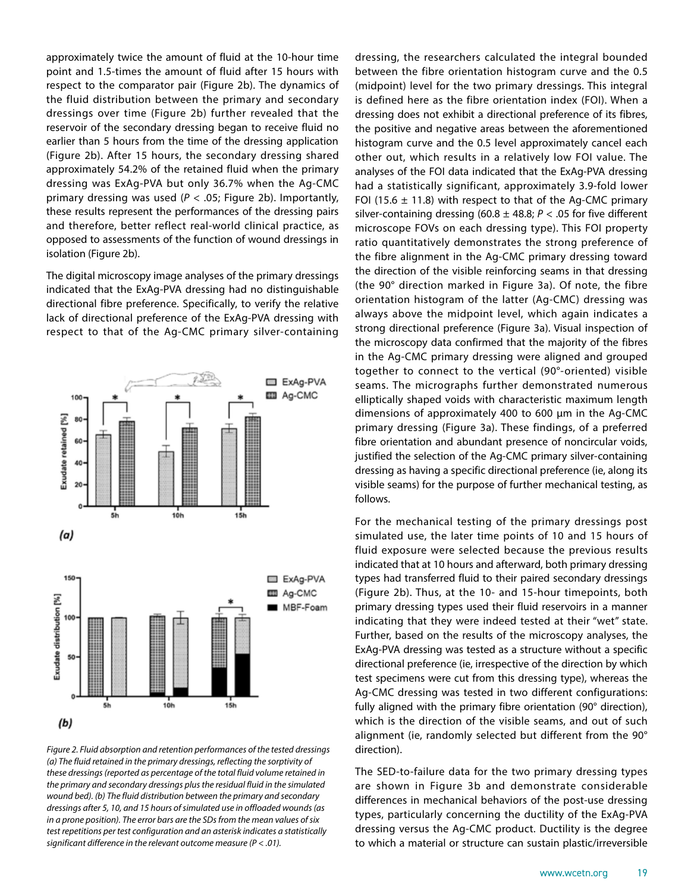approximately twice the amount of fluid at the 10-hour time point and 1.5-times the amount of fluid after 15 hours with respect to the comparator pair (Figure 2b). The dynamics of the fluid distribution between the primary and secondary dressings over time (Figure 2b) further revealed that the reservoir of the secondary dressing began to receive fluid no earlier than 5 hours from the time of the dressing application (Figure 2b). After 15 hours, the secondary dressing shared approximately 54.2% of the retained fluid when the primary dressing was ExAg-PVA but only 36.7% when the Ag-CMC primary dressing was used (*P* < .05; Figure 2b). Importantly, these results represent the performances of the dressing pairs and therefore, better reflect real-world clinical practice, as opposed to assessments of the function of wound dressings in isolation (Figure 2b).

The digital microscopy image analyses of the primary dressings indicated that the ExAg-PVA dressing had no distinguishable directional fibre preference. Specifically, to verify the relative lack of directional preference of the ExAg-PVA dressing with respect to that of the Ag-CMC primary silver-containing



*Figure 2. Fluid absorption and retention performances of the tested dressings (a) The fluid retained in the primary dressings, reflecting the sorptivity of these dressings (reported as percentage of the total fluid volume retained in the primary and secondary dressings plus the residual fluid in the simulated wound bed). (b) The fluid distribution between the primary and secondary dressings after 5, 10, and 15 hours of simulated use in offloaded wounds (as in a prone position). The error bars are the SDs from the mean values of six test repetitions per test configuration and an asterisk indicates a statistically significant difference in the relevant outcome measure (P < .01).*

dressing, the researchers calculated the integral bounded between the fibre orientation histogram curve and the 0.5 (midpoint) level for the two primary dressings. This integral is defined here as the fibre orientation index (FOI). When a dressing does not exhibit a directional preference of its fibres, the positive and negative areas between the aforementioned histogram curve and the 0.5 level approximately cancel each other out, which results in a relatively low FOI value. The analyses of the FOI data indicated that the ExAg-PVA dressing had a statistically significant, approximately 3.9-fold lower FOI (15.6  $\pm$  11.8) with respect to that of the Ag-CMC primary silver-containing dressing (60.8  $\pm$  48.8;  $P <$  .05 for five different microscope FOVs on each dressing type). This FOI property ratio quantitatively demonstrates the strong preference of the fibre alignment in the Ag-CMC primary dressing toward the direction of the visible reinforcing seams in that dressing (the 90° direction marked in Figure 3a). Of note, the fibre orientation histogram of the latter (Ag-CMC) dressing was always above the midpoint level, which again indicates a strong directional preference (Figure 3a). Visual inspection of the microscopy data confirmed that the majority of the fibres in the Ag-CMC primary dressing were aligned and grouped together to connect to the vertical (90°-oriented) visible seams. The micrographs further demonstrated numerous elliptically shaped voids with characteristic maximum length dimensions of approximately 400 to 600 µm in the Ag-CMC primary dressing (Figure 3a). These findings, of a preferred fibre orientation and abundant presence of noncircular voids, justified the selection of the Ag-CMC primary silver-containing dressing as having a specific directional preference (ie, along its visible seams) for the purpose of further mechanical testing, as follows.

For the mechanical testing of the primary dressings post simulated use, the later time points of 10 and 15 hours of fluid exposure were selected because the previous results indicated that at 10 hours and afterward, both primary dressing types had transferred fluid to their paired secondary dressings (Figure 2b). Thus, at the 10- and 15-hour timepoints, both primary dressing types used their fluid reservoirs in a manner indicating that they were indeed tested at their "wet" state. Further, based on the results of the microscopy analyses, the ExAg-PVA dressing was tested as a structure without a specific directional preference (ie, irrespective of the direction by which test specimens were cut from this dressing type), whereas the Ag-CMC dressing was tested in two different configurations: fully aligned with the primary fibre orientation (90° direction), which is the direction of the visible seams, and out of such alignment (ie, randomly selected but different from the 90° direction).

The SED-to-failure data for the two primary dressing types are shown in Figure 3b and demonstrate considerable differences in mechanical behaviors of the post-use dressing types, particularly concerning the ductility of the ExAg-PVA dressing versus the Ag-CMC product. Ductility is the degree to which a material or structure can sustain plastic/irreversible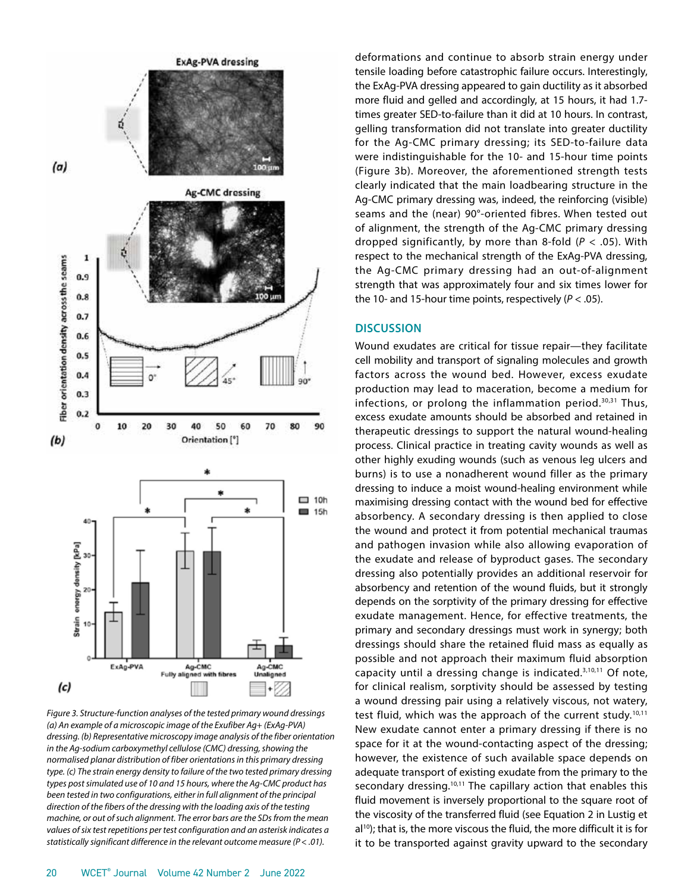

*Figure 3. Structure-function analyses of the tested primary wound dressings (a) An example of a microscopic image of the Exufiber Ag+ (ExAg-PVA) dressing. (b) Representative microscopy image analysis of the fiber orientation in the Ag-sodium carboxymethyl cellulose (CMC) dressing, showing the normalised planar distribution of fiber orientations in this primary dressing type. (c) The strain energy density to failure of the two tested primary dressing types post simulated use of 10 and 15 hours, where the Ag-CMC product has been tested in two configurations, either in full alignment of the principal direction of the fibers of the dressing with the loading axis of the testing machine, or out of such alignment. The error bars are the SDs from the mean values of six test repetitions per test configuration and an asterisk indicates a statistically significant difference in the relevant outcome measure (P< .01).*

deformations and continue to absorb strain energy under tensile loading before catastrophic failure occurs. Interestingly, the ExAg-PVA dressing appeared to gain ductility as it absorbed more fluid and gelled and accordingly, at 15 hours, it had 1.7 times greater SED-to-failure than it did at 10 hours. In contrast, gelling transformation did not translate into greater ductility for the Ag-CMC primary dressing; its SED-to-failure data were indistinguishable for the 10- and 15-hour time points (Figure 3b). Moreover, the aforementioned strength tests clearly indicated that the main loadbearing structure in the Ag-CMC primary dressing was, indeed, the reinforcing (visible) seams and the (near) 90°-oriented fibres. When tested out of alignment, the strength of the Ag-CMC primary dressing dropped significantly, by more than 8-fold (*P* < .05). With respect to the mechanical strength of the ExAg-PVA dressing, the Ag-CMC primary dressing had an out-of-alignment strength that was approximately four and six times lower for the 10- and 15-hour time points, respectively (*P* < .05).

# **DISCUSSION**

Wound exudates are critical for tissue repair—they facilitate cell mobility and transport of signaling molecules and growth factors across the wound bed. However, excess exudate production may lead to maceration, become a medium for infections, or prolong the inflammation period.30,31 Thus, excess exudate amounts should be absorbed and retained in therapeutic dressings to support the natural wound-healing process. Clinical practice in treating cavity wounds as well as other highly exuding wounds (such as venous leg ulcers and burns) is to use a nonadherent wound filler as the primary dressing to induce a moist wound-healing environment while maximising dressing contact with the wound bed for effective absorbency. A secondary dressing is then applied to close the wound and protect it from potential mechanical traumas and pathogen invasion while also allowing evaporation of the exudate and release of byproduct gases. The secondary dressing also potentially provides an additional reservoir for absorbency and retention of the wound fluids, but it strongly depends on the sorptivity of the primary dressing for effective exudate management. Hence, for effective treatments, the primary and secondary dressings must work in synergy; both dressings should share the retained fluid mass as equally as possible and not approach their maximum fluid absorption capacity until a dressing change is indicated.3,10,11 Of note, for clinical realism, sorptivity should be assessed by testing a wound dressing pair using a relatively viscous, not watery, test fluid, which was the approach of the current study.<sup>10,11</sup> New exudate cannot enter a primary dressing if there is no space for it at the wound-contacting aspect of the dressing; however, the existence of such available space depends on adequate transport of existing exudate from the primary to the secondary dressing.<sup>10,11</sup> The capillary action that enables this fluid movement is inversely proportional to the square root of the viscosity of the transferred fluid (see Equation 2 in Lustig et al<sup>10</sup>); that is, the more viscous the fluid, the more difficult it is for it to be transported against gravity upward to the secondary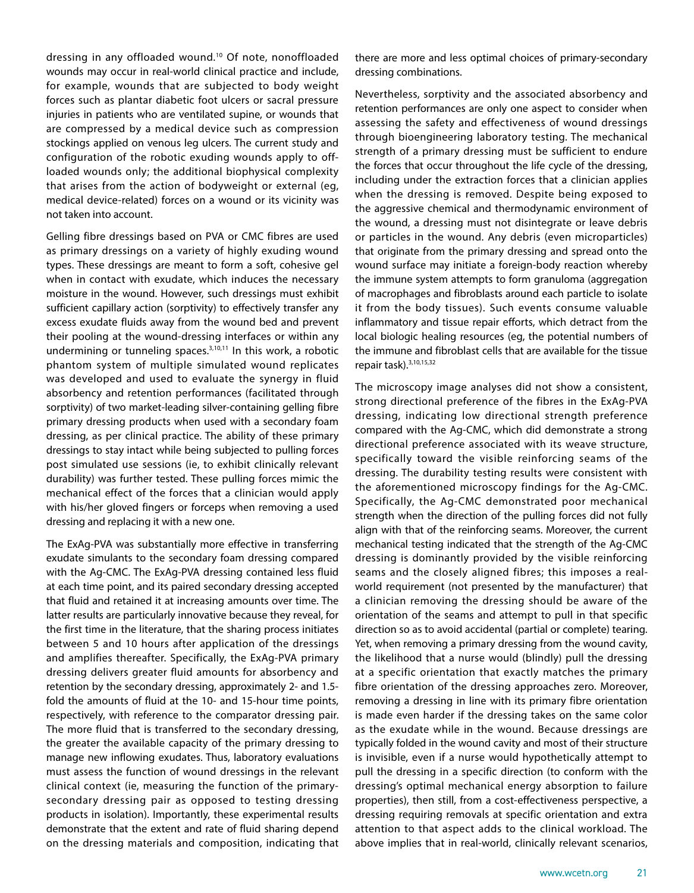dressing in any offloaded wound.10 Of note, nonoffloaded wounds may occur in real-world clinical practice and include, for example, wounds that are subjected to body weight forces such as plantar diabetic foot ulcers or sacral pressure injuries in patients who are ventilated supine, or wounds that are compressed by a medical device such as compression stockings applied on venous leg ulcers. The current study and configuration of the robotic exuding wounds apply to offloaded wounds only; the additional biophysical complexity that arises from the action of bodyweight or external (eg, medical device-related) forces on a wound or its vicinity was not taken into account.

Gelling fibre dressings based on PVA or CMC fibres are used as primary dressings on a variety of highly exuding wound types. These dressings are meant to form a soft, cohesive gel when in contact with exudate, which induces the necessary moisture in the wound. However, such dressings must exhibit sufficient capillary action (sorptivity) to effectively transfer any excess exudate fluids away from the wound bed and prevent their pooling at the wound-dressing interfaces or within any undermining or tunneling spaces. $3,10,11$  In this work, a robotic phantom system of multiple simulated wound replicates was developed and used to evaluate the synergy in fluid absorbency and retention performances (facilitated through sorptivity) of two market-leading silver-containing gelling fibre primary dressing products when used with a secondary foam dressing, as per clinical practice. The ability of these primary dressings to stay intact while being subjected to pulling forces post simulated use sessions (ie, to exhibit clinically relevant durability) was further tested. These pulling forces mimic the mechanical effect of the forces that a clinician would apply with his/her gloved fingers or forceps when removing a used dressing and replacing it with a new one.

The ExAg-PVA was substantially more effective in transferring exudate simulants to the secondary foam dressing compared with the Ag-CMC. The ExAg-PVA dressing contained less fluid at each time point, and its paired secondary dressing accepted that fluid and retained it at increasing amounts over time. The latter results are particularly innovative because they reveal, for the first time in the literature, that the sharing process initiates between 5 and 10 hours after application of the dressings and amplifies thereafter. Specifically, the ExAg-PVA primary dressing delivers greater fluid amounts for absorbency and retention by the secondary dressing, approximately 2- and 1.5 fold the amounts of fluid at the 10- and 15-hour time points, respectively, with reference to the comparator dressing pair. The more fluid that is transferred to the secondary dressing, the greater the available capacity of the primary dressing to manage new inflowing exudates. Thus, laboratory evaluations must assess the function of wound dressings in the relevant clinical context (ie, measuring the function of the primarysecondary dressing pair as opposed to testing dressing products in isolation). Importantly, these experimental results demonstrate that the extent and rate of fluid sharing depend on the dressing materials and composition, indicating that there are more and less optimal choices of primary-secondary dressing combinations.

Nevertheless, sorptivity and the associated absorbency and retention performances are only one aspect to consider when assessing the safety and effectiveness of wound dressings through bioengineering laboratory testing. The mechanical strength of a primary dressing must be sufficient to endure the forces that occur throughout the life cycle of the dressing, including under the extraction forces that a clinician applies when the dressing is removed. Despite being exposed to the aggressive chemical and thermodynamic environment of the wound, a dressing must not disintegrate or leave debris or particles in the wound. Any debris (even microparticles) that originate from the primary dressing and spread onto the wound surface may initiate a foreign-body reaction whereby the immune system attempts to form granuloma (aggregation of macrophages and fibroblasts around each particle to isolate it from the body tissues). Such events consume valuable inflammatory and tissue repair efforts, which detract from the local biologic healing resources (eg, the potential numbers of the immune and fibroblast cells that are available for the tissue repair task).<sup>3,10,15,32</sup>

The microscopy image analyses did not show a consistent, strong directional preference of the fibres in the ExAg-PVA dressing, indicating low directional strength preference compared with the Ag-CMC, which did demonstrate a strong directional preference associated with its weave structure, specifically toward the visible reinforcing seams of the dressing. The durability testing results were consistent with the aforementioned microscopy findings for the Ag-CMC. Specifically, the Ag-CMC demonstrated poor mechanical strength when the direction of the pulling forces did not fully align with that of the reinforcing seams. Moreover, the current mechanical testing indicated that the strength of the Ag-CMC dressing is dominantly provided by the visible reinforcing seams and the closely aligned fibres; this imposes a realworld requirement (not presented by the manufacturer) that a clinician removing the dressing should be aware of the orientation of the seams and attempt to pull in that specific direction so as to avoid accidental (partial or complete) tearing. Yet, when removing a primary dressing from the wound cavity, the likelihood that a nurse would (blindly) pull the dressing at a specific orientation that exactly matches the primary fibre orientation of the dressing approaches zero. Moreover, removing a dressing in line with its primary fibre orientation is made even harder if the dressing takes on the same color as the exudate while in the wound. Because dressings are typically folded in the wound cavity and most of their structure is invisible, even if a nurse would hypothetically attempt to pull the dressing in a specific direction (to conform with the dressing's optimal mechanical energy absorption to failure properties), then still, from a cost-effectiveness perspective, a dressing requiring removals at specific orientation and extra attention to that aspect adds to the clinical workload. The above implies that in real-world, clinically relevant scenarios,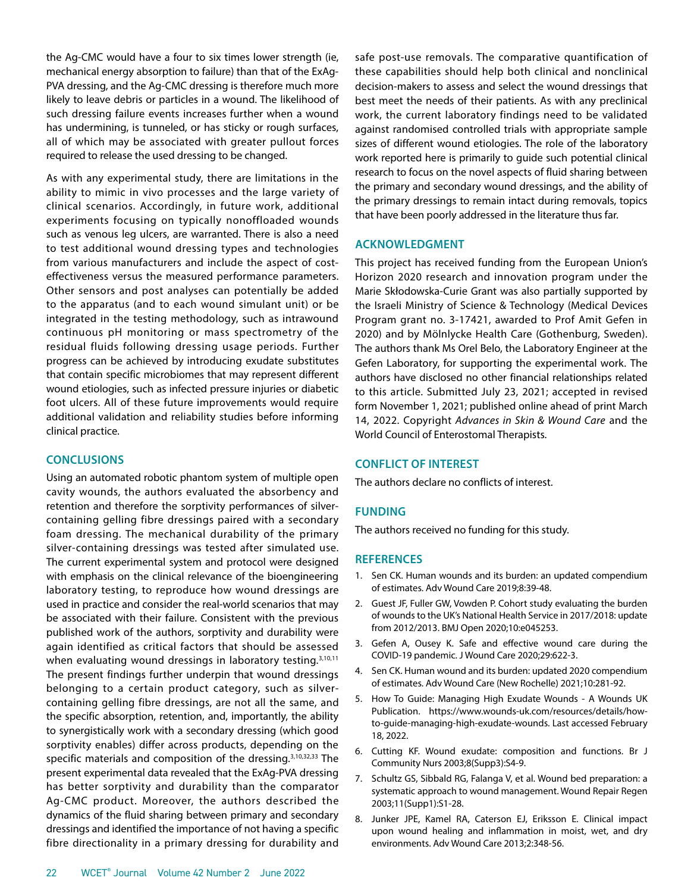the Ag-CMC would have a four to six times lower strength (ie, mechanical energy absorption to failure) than that of the ExAg-PVA dressing, and the Ag-CMC dressing is therefore much more likely to leave debris or particles in a wound. The likelihood of such dressing failure events increases further when a wound has undermining, is tunneled, or has sticky or rough surfaces, all of which may be associated with greater pullout forces required to release the used dressing to be changed.

As with any experimental study, there are limitations in the ability to mimic in vivo processes and the large variety of clinical scenarios. Accordingly, in future work, additional experiments focusing on typically nonoffloaded wounds such as venous leg ulcers, are warranted. There is also a need to test additional wound dressing types and technologies from various manufacturers and include the aspect of costeffectiveness versus the measured performance parameters. Other sensors and post analyses can potentially be added to the apparatus (and to each wound simulant unit) or be integrated in the testing methodology, such as intrawound continuous pH monitoring or mass spectrometry of the residual fluids following dressing usage periods. Further progress can be achieved by introducing exudate substitutes that contain specific microbiomes that may represent different wound etiologies, such as infected pressure injuries or diabetic foot ulcers. All of these future improvements would require additional validation and reliability studies before informing clinical practice.

#### **CONCLUSIONS**

Using an automated robotic phantom system of multiple open cavity wounds, the authors evaluated the absorbency and retention and therefore the sorptivity performances of silvercontaining gelling fibre dressings paired with a secondary foam dressing. The mechanical durability of the primary silver-containing dressings was tested after simulated use. The current experimental system and protocol were designed with emphasis on the clinical relevance of the bioengineering laboratory testing, to reproduce how wound dressings are used in practice and consider the real-world scenarios that may be associated with their failure. Consistent with the previous published work of the authors, sorptivity and durability were again identified as critical factors that should be assessed when evaluating wound dressings in laboratory testing.<sup>3,10,11</sup> The present findings further underpin that wound dressings belonging to a certain product category, such as silvercontaining gelling fibre dressings, are not all the same, and the specific absorption, retention, and, importantly, the ability to synergistically work with a secondary dressing (which good sorptivity enables) differ across products, depending on the specific materials and composition of the dressing.<sup>3,10,32,33</sup> The present experimental data revealed that the ExAg-PVA dressing has better sorptivity and durability than the comparator Ag-CMC product. Moreover, the authors described the dynamics of the fluid sharing between primary and secondary dressings and identified the importance of not having a specific fibre directionality in a primary dressing for durability and safe post-use removals. The comparative quantification of these capabilities should help both clinical and nonclinical decision-makers to assess and select the wound dressings that best meet the needs of their patients. As with any preclinical work, the current laboratory findings need to be validated against randomised controlled trials with appropriate sample sizes of different wound etiologies. The role of the laboratory work reported here is primarily to guide such potential clinical research to focus on the novel aspects of fluid sharing between the primary and secondary wound dressings, and the ability of the primary dressings to remain intact during removals, topics that have been poorly addressed in the literature thus far.

# **ACKNOWLEDGMENT**

This project has received funding from the European Union's Horizon 2020 research and innovation program under the Marie Skłodowska-Curie Grant was also partially supported by the Israeli Ministry of Science & Technology (Medical Devices Program grant no. 3-17421, awarded to Prof Amit Gefen in 2020) and by Mölnlycke Health Care (Gothenburg, Sweden). The authors thank Ms Orel Belo, the Laboratory Engineer at the Gefen Laboratory, for supporting the experimental work. The authors have disclosed no other financial relationships related to this article. Submitted July 23, 2021; accepted in revised form November 1, 2021; published online ahead of print March 14, 2022. Copyright *Advances in Skin & Wound Care* and the World Council of Enterostomal Therapists.

# **CONFLICT OF INTEREST**

The authors declare no conflicts of interest.

# **FUNDING**

The authors received no funding for this study.

# **REFERENCES**

- 1. Sen CK. Human wounds and its burden: an updated compendium of estimates. Adv Wound Care 2019;8:39-48.
- 2. Guest JF, Fuller GW, Vowden P. Cohort study evaluating the burden of wounds to the UK's National Health Service in 2017/2018: update from 2012/2013. BMJ Open 2020;10:e045253.
- 3. Gefen A, Ousey K. Safe and effective wound care during the COVID-19 pandemic. J Wound Care 2020;29:622-3.
- 4. Sen CK. Human wound and its burden: updated 2020 compendium of estimates. Adv Wound Care (New Rochelle) 2021;10:281-92.
- 5. How To Guide: Managing High Exudate Wounds A Wounds UK Publication. https://www.wounds-uk.com/resources/details/howto-guide-managing-high-exudate-wounds. Last accessed February 18, 2022.
- 6. Cutting KF. Wound exudate: composition and functions. Br J Community Nurs 2003;8(Supp3):S4-9.
- 7. Schultz GS, Sibbald RG, Falanga V, et al. Wound bed preparation: a systematic approach to wound management. Wound Repair Regen 2003;11(Supp1):S1-28.
- 8. Junker JPE, Kamel RA, Caterson EJ, Eriksson E. Clinical impact upon wound healing and inflammation in moist, wet, and dry environments. Adv Wound Care 2013;2:348-56.